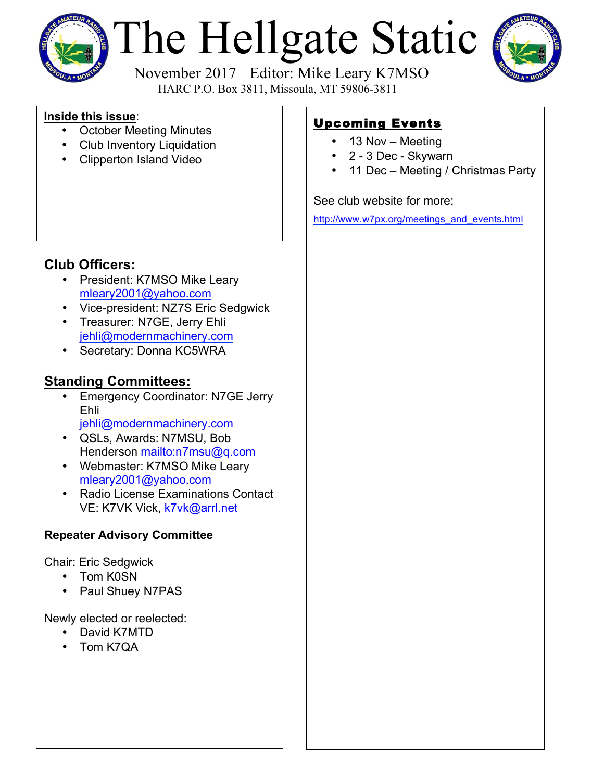

# The Hellgate Static



 November 2017 Editor: Mike Leary K7MSO HARC P.O. Box 3811, Missoula, MT 59806-3811

## **Inside this issue**:

- October Meeting Minutes
- Club Inventory Liquidation
- Clipperton Island Video

# Upcoming Events

- 13 Nov Meeting
- 2 3 Dec Skywarn
- 11 Dec Meeting / Christmas Party

## See club website for more:

[http://www.w7px.org/meetings\\_and\\_events.html](http://www.w7px.org/meetings_and_events.html)

# **Club Officers:**

- President: K7MSO Mike Leary [mleary2001@yahoo.com](mailto:mleary2001@yahoo.com?subject=Hellgate Amateur Radio Club Web Site Info)
- Vice-president: NZ7S Eric Sedgwick
- Treasurer: N7GE, Jerry Ehli [jehli@modernmachinery.com](mailto:jehli@modernmachinery.com?subject=Hellgate Amateur Radio Club Info)
- Secretary: Donna KC5WRA

## **Standing Committees:**

- Emergency Coordinator: N7GE Jerry Ehli [jehli@modernmachinery.com](mailto:jehli@modernmachinery.com?subject=Hellgate Amateur Radio Club Info)
- QSLs, Awards: N7MSU, Bob Henderson <mailto:n7msu@q.com>
- Webmaster: K7MSO Mike Leary [mleary2001@yahoo.com](mailto:mleary2001@yahoo.com?subject=Hellgate Amateur Radio Club Web Site Info)
- Radio License Examinations Contact VE: K7VK Vick, [k7vk@arrl.net](mailto:k7vk@arrl.net?subject=Hellgate Amateur Radio Club License Exams)

## **Repeater Advisory Committee**

Chair: Eric Sedgwick

- Tom K0SN
- Paul Shuey N7PAS

Newly elected or reelected:

- David K7MTD
- Tom K7QA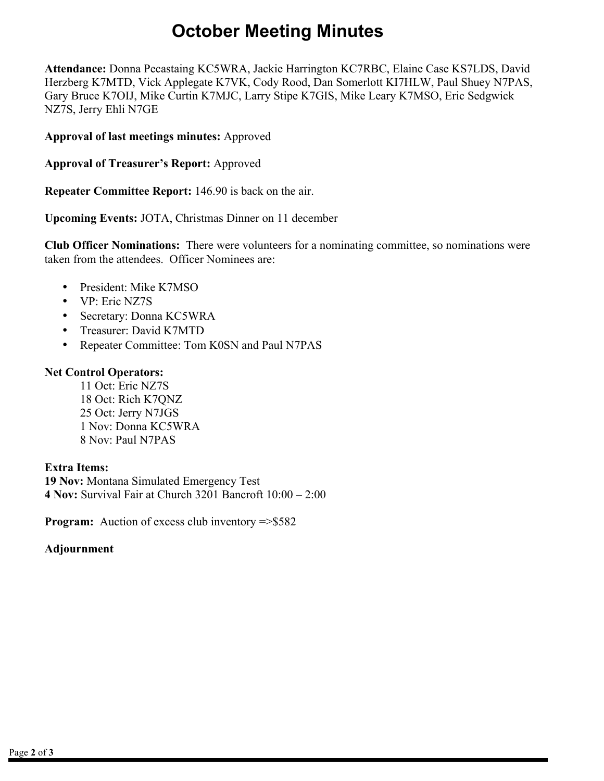# **October Meeting Minutes**

**Attendance:** Donna Pecastaing KC5WRA, Jackie Harrington KC7RBC, Elaine Case KS7LDS, David Herzberg K7MTD, Vick Applegate K7VK, Cody Rood, Dan Somerlott KI7HLW, Paul Shuey N7PAS, Gary Bruce K7OIJ, Mike Curtin K7MJC, Larry Stipe K7GIS, Mike Leary K7MSO, Eric Sedgwick NZ7S, Jerry Ehli N7GE

**Approval of last meetings minutes:** Approved

**Approval of Treasurer's Report:** Approved

**Repeater Committee Report:** 146.90 is back on the air.

**Upcoming Events:** JOTA, Christmas Dinner on 11 december

**Club Officer Nominations:** There were volunteers for a nominating committee, so nominations were taken from the attendees. Officer Nominees are:

- President: Mike K7MSO
- VP: Eric NZ7S
- Secretary: Donna KC5WRA
- Treasurer: David K7MTD
- Repeater Committee: Tom K0SN and Paul N7PAS

### **Net Control Operators:**

11 Oct: Eric NZ7S 18 Oct: Rich K7QNZ 25 Oct: Jerry N7JGS 1 Nov: Donna KC5WRA 8 Nov: Paul N7PAS

### **Extra Items:**

**19 Nov:** Montana Simulated Emergency Test **4 Nov:** Survival Fair at Church 3201 Bancroft 10:00 – 2:00

**Program:** Auction of excess club inventory =>\$582

### **Adjournment**